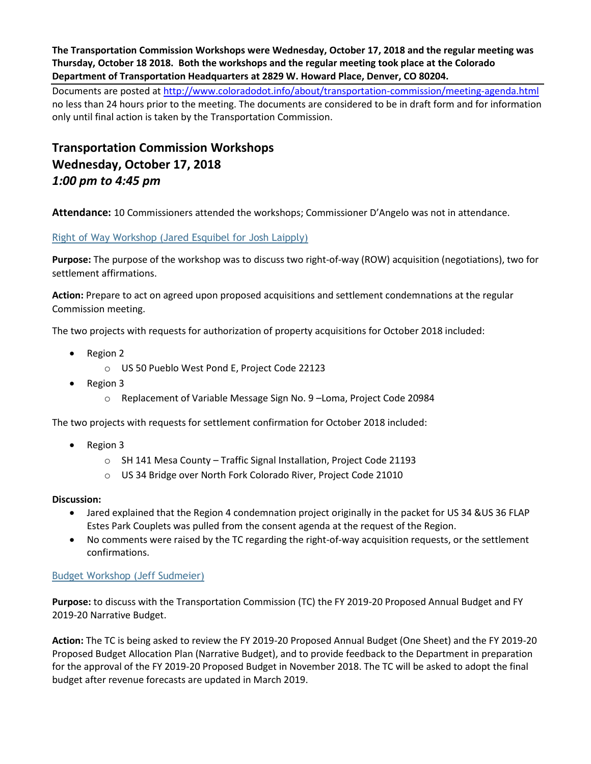**The Transportation Commission Workshops were Wednesday, October 17, 2018 and the regular meeting was Thursday, October 18 2018. Both the workshops and the regular meeting took place at the Colorado Department of Transportation Headquarters at 2829 W. Howard Place, Denver, CO 80204.**

Documents are posted at http://www.coloradodot.info/about/transportation-commission/meeting-agenda.html no less than 24 hours prior to the meeting. The documents are considered to be in draft form and for information only until final action is taken by the Transportation Commission.

# **Transportation Commission Workshops Wednesday, October 17, 2018** *1:00 pm to 4:45 pm*

**Attendance:** 10 Commissioners attended the workshops; Commissioner D'Angelo was not in attendance.

# [Right of Way Workshop \(Jared Esquibel for Josh Laipply\)](https://www.codot.gov/about/transportation-commission/documents/2018-agendas-and-supporting-documents/september-2018/tc-row-2018-9-final.pdf)

**Purpose:** The purpose of the workshop was to discuss two right-of-way (ROW) acquisition (negotiations), two for settlement affirmations.

**Action:** Prepare to act on agreed upon proposed acquisitions and settlement condemnations at the regular Commission meeting.

The two projects with requests for authorization of property acquisitions for October 2018 included:

- Region 2
	- o US 50 Pueblo West Pond E, Project Code 22123
- Region 3
	- o Replacement of Variable Message Sign No. 9 –Loma, Project Code 20984

The two projects with requests for settlement confirmation for October 2018 included:

- Region 3
	- o SH 141 Mesa County Traffic Signal Installation, Project Code 21193
	- o US 34 Bridge over North Fork Colorado River, Project Code 21010

## **Discussion:**

- Jared explained that the Region 4 condemnation project originally in the packet for US 34 &US 36 FLAP Estes Park Couplets was pulled from the consent agenda at the request of the Region.
- No comments were raised by the TC regarding the right-of-way acquisition requests, or the settlement [confirmations.](https://www.codot.gov/about/transportation-commission/documents/2018-agendas-and-supporting-documents/october-2018/1-budget-workshop.pdf)

## [Budget Workshop \(Jeff Sudmeier\)](https://www.codot.gov/about/transportation-commission/documents/2018-agendas-and-supporting-documents/october-2018/1-budget-workshop.pdf)

**Purpose:** to discuss with the Transportation Commission (TC) the FY 2019-20 Proposed Annual Budget and FY 2019-20 Narrative Budget.

**Action:** The TC is being asked to review the FY 2019-20 Proposed Annual Budget (One Sheet) and the FY 2019-20 Proposed Budget Allocation Plan (Narrative Budget), and to provide feedback to the Department in preparation for the approval of the FY 2019-20 Proposed Budget in November 2018. The TC will be asked to adopt the final budget after revenue forecasts are updated in March 2019.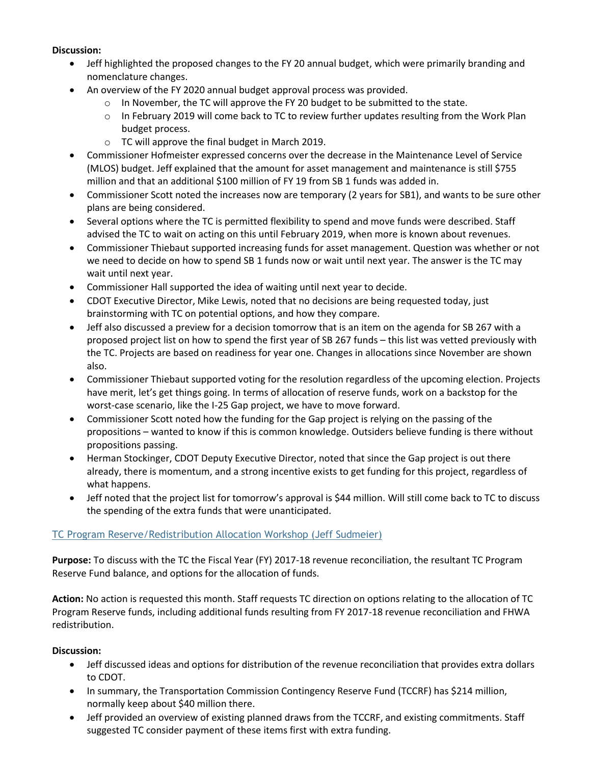#### **Discussion:**

- Jeff highlighted the proposed changes to the FY 20 annual budget, which were primarily branding and nomenclature changes.
- An overview of the FY 2020 annual budget approval process was provided.
	- $\circ$  In November, the TC will approve the FY 20 budget to be submitted to the state.
	- $\circ$  In February 2019 will come back to TC to review further updates resulting from the Work Plan budget process.
	- o TC will approve the final budget in March 2019.
- Commissioner Hofmeister expressed concerns over the decrease in the Maintenance Level of Service (MLOS) budget. Jeff explained that the amount for asset management and maintenance is still \$755 million and that an additional \$100 million of FY 19 from SB 1 funds was added in.
- Commissioner Scott noted the increases now are temporary (2 years for SB1), and wants to be sure other plans are being considered.
- Several options where the TC is permitted flexibility to spend and move funds were described. Staff advised the TC to wait on acting on this until February 2019, when more is known about revenues.
- Commissioner Thiebaut supported increasing funds for asset management. Question was whether or not we need to decide on how to spend SB 1 funds now or wait until next year. The answer is the TC may wait until next year.
- Commissioner Hall supported the idea of waiting until next year to decide.
- CDOT Executive Director, Mike Lewis, noted that no decisions are being requested today, just brainstorming with TC on potential options, and how they compare.
- Jeff also discussed a preview for a decision tomorrow that is an item on the agenda for SB 267 with a proposed project list on how to spend the first year of SB 267 funds – this list was vetted previously with the TC. Projects are based on readiness for year one. Changes in allocations since November are shown also.
- Commissioner Thiebaut supported voting for the resolution regardless of the upcoming election. Projects have merit, let's get things going. In terms of allocation of reserve funds, work on a backstop for the worst-case scenario, like the I-25 Gap project, we have to move forward.
- Commissioner Scott noted how the funding for the Gap project is relying on the passing of the propositions – wanted to know if this is common knowledge. Outsiders believe funding is there without propositions passing.
- Herman Stockinger, CDOT Deputy Executive Director, noted that since the Gap project is out there already, there is momentum, and a strong incentive exists to get funding for this project, regardless of what happens.
- Jeff noted that the project list for tomorrow's approval is \$44 million. Will still come back to TC to discuss the spending of the extra funds that were unanticipated.

## [TC Program Reserve/Redistribution Allocation Workshop \(Jeff Sudmeier\)](https://www.codot.gov/about/transportation-commission/documents/2018-agendas-and-supporting-documents/october-2018/2-tc-program-reserve.pdf)

**Purpose:** To discuss with the TC the Fiscal Year (FY) 2017-18 revenue reconciliation, the resultant TC Program Reserve Fund balance, and options for the allocation of funds.

**Action:** No action is requested this month. Staff requests TC direction on options relating to the allocation of TC Program Reserve funds, including additional funds resulting from FY 2017-18 revenue reconciliation and FHWA redistribution.

- Jeff discussed ideas and options for distribution of the revenue reconciliation that provides extra dollars to CDOT.
- In summary, the Transportation Commission Contingency Reserve Fund (TCCRF) has \$214 million, normally keep about \$40 million there.
- Jeff provided an overview of existing planned draws from the TCCRF, and existing commitments. Staff suggested TC consider payment of these items first with extra funding.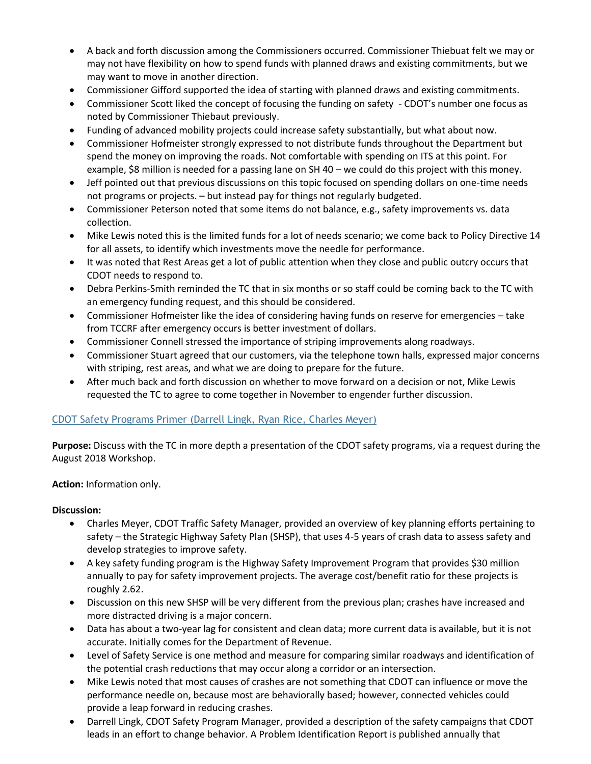- A back and forth discussion among the Commissioners occurred. Commissioner Thiebuat felt we may or may not have flexibility on how to spend funds with planned draws and existing commitments, but we may want to move in another direction.
- Commissioner Gifford supported the idea of starting with planned draws and existing commitments.
- Commissioner Scott liked the concept of focusing the funding on safety CDOT's number one focus as noted by Commissioner Thiebaut previously.
- Funding of advanced mobility projects could increase safety substantially, but what about now.
- Commissioner Hofmeister strongly expressed to not distribute funds throughout the Department but spend the money on improving the roads. Not comfortable with spending on ITS at this point. For example, \$8 million is needed for a passing lane on SH 40 – we could do this project with this money.
- Jeff pointed out that previous discussions on this topic focused on spending dollars on one-time needs not programs or projects. – but instead pay for things not regularly budgeted.
- Commissioner Peterson noted that some items do not balance, e.g., safety improvements vs. data collection.
- Mike Lewis noted this is the limited funds for a lot of needs scenario; we come back to Policy Directive 14 for all assets, to identify which investments move the needle for performance.
- It was noted that Rest Areas get a lot of public attention when they close and public outcry occurs that CDOT needs to respond to.
- Debra Perkins-Smith reminded the TC that in six months or so staff could be coming back to the TC with an emergency funding request, and this should be considered.
- Commissioner Hofmeister like the idea of considering having funds on reserve for emergencies take from TCCRF after emergency occurs is better investment of dollars.
- Commissioner Connell stressed the importance of striping improvements along roadways.
- Commissioner Stuart agreed that our customers, via the telephone town halls, expressed major concerns with striping, rest areas, and what we are doing to prepare for the future.
- After much back and forth discussion on whether to move forward on a decision or not, Mike Lewis requested the TC to agree to come together in November to engender further discussion.

# [CDOT Safety Programs Primer \(Darrell Lingk, Ryan Rice, Charles Meyer\)](https://www.codot.gov/about/transportation-commission/documents/2018-agendas-and-supporting-documents/october-2018/3-cdot-safety-primer.pdf)

**Purpose:** Discuss with the TC in more depth a presentation of the CDOT safety programs, via a request during the August 2018 Workshop.

**Action:** Information only.

- Charles Meyer, CDOT Traffic Safety Manager, provided an overview of key planning efforts pertaining to safety – the Strategic Highway Safety Plan (SHSP), that uses 4-5 years of crash data to assess safety and develop strategies to improve safety.
- A key safety funding program is the Highway Safety Improvement Program that provides \$30 million annually to pay for safety improvement projects. The average cost/benefit ratio for these projects is roughly 2.62.
- Discussion on this new SHSP will be very different from the previous plan; crashes have increased and more distracted driving is a major concern.
- Data has about a two-year lag for consistent and clean data; more current data is available, but it is not accurate. Initially comes for the Department of Revenue.
- Level of Safety Service is one method and measure for comparing similar roadways and identification of the potential crash reductions that may occur along a corridor or an intersection.
- Mike Lewis noted that most causes of crashes are not something that CDOT can influence or move the performance needle on, because most are behaviorally based; however, connected vehicles could provide a leap forward in reducing crashes.
- Darrell Lingk, CDOT Safety Program Manager, provided a description of the safety campaigns that CDOT leads in an effort to change behavior. A Problem Identification Report is published annually that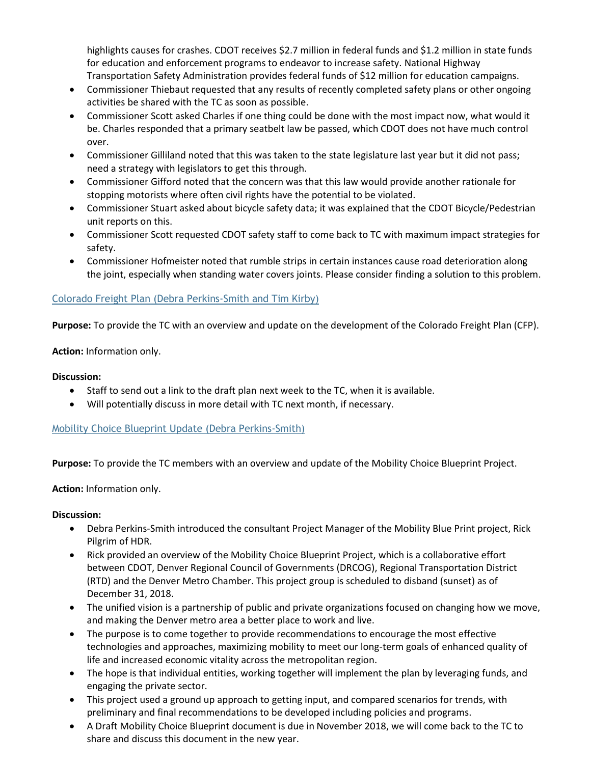highlights causes for crashes. CDOT receives \$2.7 million in federal funds and \$1.2 million in state funds for education and enforcement programs to endeavor to increase safety. National Highway Transportation Safety Administration provides federal funds of \$12 million for education campaigns.

- Commissioner Thiebaut requested that any results of recently completed safety plans or other ongoing activities be shared with the TC as soon as possible.
- Commissioner Scott asked Charles if one thing could be done with the most impact now, what would it be. Charles responded that a primary seatbelt law be passed, which CDOT does not have much control over.
- Commissioner Gilliland noted that this was taken to the state legislature last year but it did not pass; need a strategy with legislators to get this through.
- Commissioner Gifford noted that the concern was that this law would provide another rationale for stopping motorists where often civil rights have the potential to be violated.
- Commissioner Stuart asked about bicycle safety data; it was explained that the CDOT Bicycle/Pedestrian unit reports on this.
- Commissioner Scott requested CDOT safety staff to come back to TC with maximum impact strategies for safety.
- Commissioner Hofmeister noted that rumble strips in certain instances cause road deterioration along the joint, especially when standing water covers joints. Please consider finding a solution to this problem.

# [Colorado Freight Plan \(Debra Perkins-Smith and Tim Kirby\)](https://www.codot.gov/about/transportation-commission/documents/2018-agendas-and-supporting-documents/october-2018/4-co-freight-plan.pdf)

**Purpose:** To provide the TC with an overview and update on the development of the Colorado Freight Plan (CFP).

## **Action:** Information only.

#### **Discussion:**

- Staff to send out a link to the draft plan next week to the TC, when it is available.
- Will potentially discuss in [more detail with TC next month,](https://www.codot.gov/about/transportation-commission/documents/2018-agendas-and-supporting-documents/october-2018/5-mobility-choice-blueprint-update.pdf) if necessary.

## [Mobility Choice Blueprint Update \(Debra Perkins-Smith\)](https://www.codot.gov/about/transportation-commission/documents/2018-agendas-and-supporting-documents/october-2018/5-mobility-choice-blueprint-update.pdf)

**Purpose:** To provide the TC members with an overview and update of the Mobility Choice Blueprint Project.

## **Action:** Information only.

- Debra Perkins-Smith introduced the consultant Project Manager of the Mobility Blue Print project, Rick Pilgrim of HDR.
- Rick provided an overview of the Mobility Choice Blueprint Project, which is a collaborative effort between CDOT, Denver Regional Council of Governments (DRCOG), Regional Transportation District (RTD) and the Denver Metro Chamber. This project group is scheduled to disband (sunset) as of December 31, 2018.
- The unified vision is a partnership of public and private organizations focused on changing how we move, and making the Denver metro area a better place to work and live.
- The purpose is to come together to provide recommendations to encourage the most effective technologies and approaches, maximizing mobility to meet our long-term goals of enhanced quality of life and increased economic vitality across the metropolitan region.
- The hope is that individual entities, working together will implement the plan by leveraging funds, and engaging the private sector.
- This project used a ground up approach to getting input, and compared scenarios for trends, with preliminary and final recommendations to be developed including policies and programs.
- A Draft Mobility Choice Blueprint document is due in November 2018, we will come back to the TC to share and discuss this document in the new year.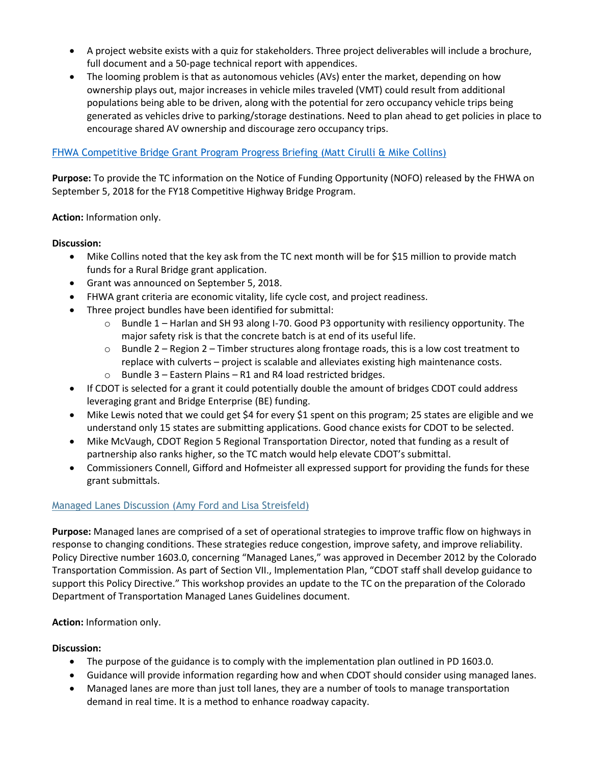- A project website exists with a quiz for stakeholders. Three project deliverables will include a brochure, full document and a 50-page technical report with appendices.
- The looming problem is that as autonomous vehicles (AVs) enter the market, depending on how ownership plays out, major increases in vehicle miles traveled (VMT) could result from additional populations being able to be driven, along with the potential for zero occupancy vehicle trips being generated as vehicles drive to parking/storage destinations. Need to plan ahead to get policies in place to encourage shared AV ownership and discourage zero occupancy trips.

#### [FHWA Competitive Bridge Grant Program Progress Briefing \(Matt Cirulli & Mike Collins\)](https://www.codot.gov/about/transportation-commission/documents/2018-agendas-and-supporting-documents/october-2018/6-fhwa-grant-program-joint-workshop.pdf)

**Purpose:** To provide the TC information on the Notice of Funding Opportunity (NOFO) released by the FHWA on September 5, 2018 for the FY18 Competitive Highway Bridge Program.

**Action:** Information only.

#### **Discussion:**

- Mike Collins noted that the key ask from the TC next month will be for \$15 million to provide match funds for a Rural Bridge grant application.
- Grant was announced on September 5, 2018.
- FHWA grant criteria are economic vitality, life cycle cost, and project readiness.
- Three project bundles have been identified for submittal:
	- $\circ$  Bundle 1 Harlan and SH 93 along I-70. Good P3 opportunity with resiliency opportunity. The major safety risk is that the concrete batch is at end of its useful life.
	- $\circ$  Bundle 2 Region 2 Timber structures along frontage roads, this is a low cost treatment to replace with culverts – project is scalable and alleviates existing high maintenance costs.
	- $\circ$  Bundle 3 Eastern Plains R1 and R4 load restricted bridges.
- If CDOT is selected for a grant it could potentially double the amount of bridges CDOT could address leveraging grant and Bridge Enterprise (BE) funding.
- Mike Lewis noted that we could get \$4 for every \$1 spent on this program; 25 states are eligible and we understand only 15 states are submitting applications. Good chance exists for CDOT to be selected.
- Mike McVaugh, CDOT Region 5 Regional Transportation Director, noted that funding as a result of partnership also ranks higher, so the TC match would help elevate CDOT's submittal.
- Commissioners Connell, Gifford and Hofmeister all expressed support for providing the funds for these grant submittals.

## [Managed Lanes Discussion \(Amy Ford](https://www.codot.gov/about/transportation-commission/documents/2018-agendas-and-supporting-documents/october-2018/7-managed-lanes-discussion.pdf) and Lisa Streisfeld)

**Purpose:** Managed lanes are comprised of a set of operational strategies to improve traffic flow on highways in response to changing conditions. These strategies reduce congestion, improve safety, and improve reliability. Policy Directive number 1603.0, concerning "Managed Lanes," was approved in December 2012 by the Colorado Transportation Commission. As part of Section VII., Implementation Plan, "CDOT staff shall develop guidance to support this Policy Directive." This workshop provides an update to the TC on the preparation of the Colorado Department of Transportation Managed Lanes Guidelines document.

#### **Action:** Information only.

- The purpose of the guidance is to comply with the implementation plan outlined in PD 1603.0.
- Guidance will provide information regarding how and when CDOT should consider using managed lanes.
- Managed lanes are more than just toll lanes, they are a number of tools to manage transportation demand in real time. It is a method to enhance roadway capacity.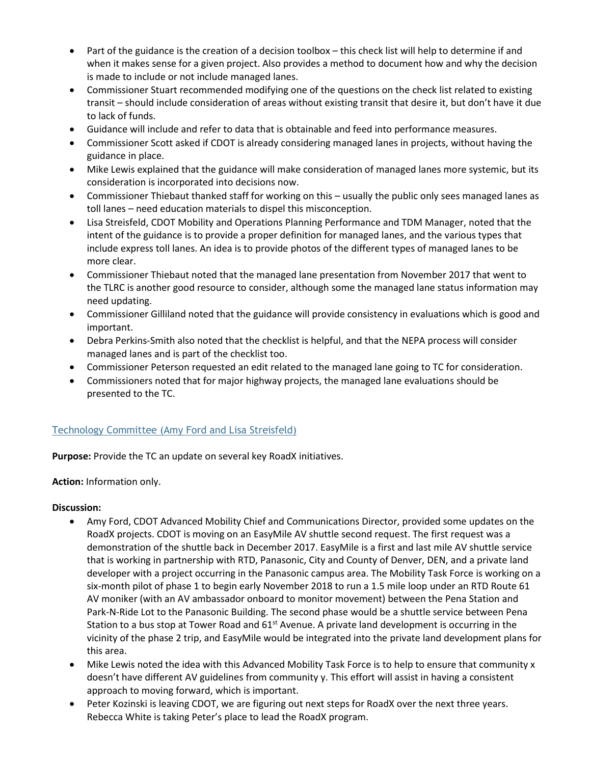- Part of the guidance is the creation of a decision toolbox this check list will help to determine if and when it makes sense for a given project. Also provides a method to document how and why the decision is made to include or not include managed lanes.
- Commissioner Stuart recommended modifying one of the questions on the check list related to existing transit – should include consideration of areas without existing transit that desire it, but don't have it due to lack of funds.
- Guidance will include and refer to data that is obtainable and feed into performance measures.
- Commissioner Scott asked if CDOT is already considering managed lanes in projects, without having the guidance in place.
- Mike Lewis explained that the guidance will make consideration of managed lanes more systemic, but its consideration is incorporated into decisions now.
- Commissioner Thiebaut thanked staff for working on this usually the public only sees managed lanes as toll lanes – need education materials to dispel this misconception.
- Lisa Streisfeld, CDOT Mobility and Operations Planning Performance and TDM Manager, noted that the intent of the guidance is to provide a proper definition for managed lanes, and the various types that include express toll lanes. An idea is to provide photos of the different types of managed lanes to be more clear.
- Commissioner Thiebaut noted that the managed lane presentation from November 2017 that went to the TLRC is another good resource to consider, although some the managed lane status information may need updating.
- Commissioner Gilliland noted that the guidance will provide consistency in evaluations which is good and important.
- Debra Perkins-Smith also noted that the checklist is helpful, and that the NEPA process will consider managed lanes and is part of the checklist too.
- Commissioner Peterson requested an edit related to the managed lane going to TC for consideration.
- Commissioners noted that for major highway projects, the managed lane evaluations should be presented to the TC.

## [Technology Committee \(Amy Ford](https://www.codot.gov/about/transportation-commission/documents/2018-agendas-and-supporting-documents/october-2018/8-tech-committee.pdf) and Lisa Streisfeld)

**Purpose:** Provide the TC an update on several key RoadX initiatives.

**Action:** Information only.

- Amy Ford, CDOT Advanced Mobility Chief and Communications Director, provided some updates on the RoadX projects. CDOT is moving on an EasyMile AV shuttle second request. The first request was a demonstration of the shuttle back in December 2017. EasyMile is a first and last mile AV shuttle service that is working in partnership with RTD, Panasonic, City and County of Denver, DEN, and a private land developer with a project occurring in the Panasonic campus area. The Mobility Task Force is working on a six-month pilot of phase 1 to begin early November 2018 to run a 1.5 mile loop under an RTD Route 61 AV moniker (with an AV ambassador onboard to monitor movement) between the Pena Station and Park-N-Ride Lot to the Panasonic Building. The second phase would be a shuttle service between Pena Station to a bus stop at Tower Road and  $61<sup>st</sup>$  Avenue. A private land development is occurring in the vicinity of the phase 2 trip, and EasyMile would be integrated into the private land development plans for this area.
- Mike Lewis noted the idea with this Advanced Mobility Task Force is to help to ensure that community x doesn't have different AV guidelines from community y. This effort will assist in having a consistent approach to moving forward, which is important.
- Peter Kozinski is leaving CDOT, we are figuring out next steps for RoadX over the next three years. Rebecca White is taking Peter's place to lead the RoadX program.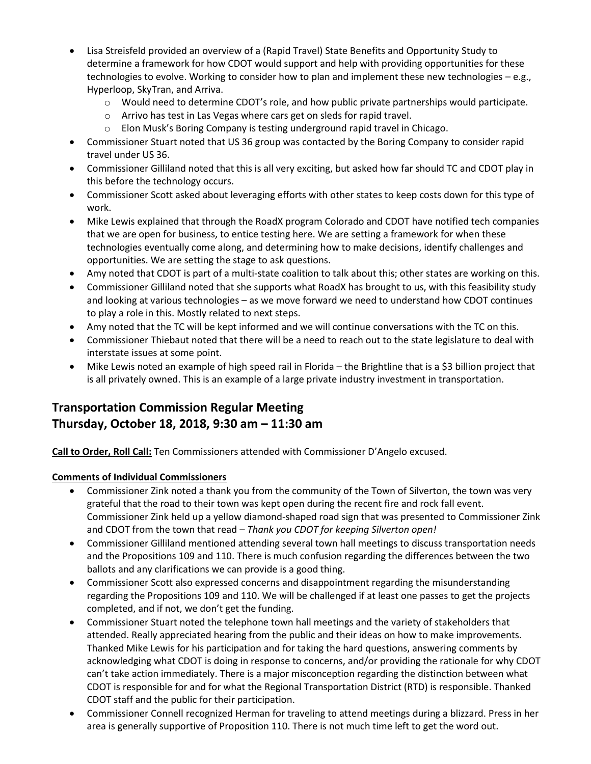- Lisa Streisfeld provided an overview of a (Rapid Travel) State Benefits and Opportunity Study to determine a framework for how CDOT would support and help with providing opportunities for these technologies to evolve. Working to consider how to plan and implement these new technologies – e.g., Hyperloop, SkyTran, and Arriva.
	- $\circ$  Would need to determine CDOT's role, and how public private partnerships would participate.
	- o Arrivo has test in Las Vegas where cars get on sleds for rapid travel.
	- o Elon Musk's Boring Company is testing underground rapid travel in Chicago.
- Commissioner Stuart noted that US 36 group was contacted by the Boring Company to consider rapid travel under US 36.
- Commissioner Gilliland noted that this is all very exciting, but asked how far should TC and CDOT play in this before the technology occurs.
- Commissioner Scott asked about leveraging efforts with other states to keep costs down for this type of work.
- Mike Lewis explained that through the RoadX program Colorado and CDOT have notified tech companies that we are open for business, to entice testing here. We are setting a framework for when these technologies eventually come along, and determining how to make decisions, identify challenges and opportunities. We are setting the stage to ask questions.
- Amy noted that CDOT is part of a multi-state coalition to talk about this; other states are working on this.
- Commissioner Gilliland noted that she supports what RoadX has brought to us, with this feasibility study and looking at various technologies – as we move forward we need to understand how CDOT continues to play a role in this. Mostly related to next steps.
- Amy noted that the TC will be kept informed and we will continue conversations with the TC on this.
- Commissioner Thiebaut noted that there will be a need to reach out to the state legislature to deal with interstate issues at some point.
- Mike Lewis noted an example of high speed rail in Florida the Brightline that is a \$3 billion project that is all privately owned. This is an example of a large private industry investment in transportation.

# **Transportation Commission Regular Meeting Thursday, October 18, 2018, 9:30 am – 11:30 am**

**Call to Order, Roll Call:** Ten Commissioners attended with Commissioner D'Angelo excused.

## **Comments of Individual Commissioners**

- Commissioner Zink noted a thank you from the community of the Town of Silverton, the town was very grateful that the road to their town was kept open during the recent fire and rock fall event. Commissioner Zink held up a yellow diamond-shaped road sign that was presented to Commissioner Zink and CDOT from the town that read – *Thank you CDOT for keeping Silverton open!*
- Commissioner Gilliland mentioned attending several town hall meetings to discuss transportation needs and the Propositions 109 and 110. There is much confusion regarding the differences between the two ballots and any clarifications we can provide is a good thing.
- Commissioner Scott also expressed concerns and disappointment regarding the misunderstanding regarding the Propositions 109 and 110. We will be challenged if at least one passes to get the projects completed, and if not, we don't get the funding.
- Commissioner Stuart noted the telephone town hall meetings and the variety of stakeholders that attended. Really appreciated hearing from the public and their ideas on how to make improvements. Thanked Mike Lewis for his participation and for taking the hard questions, answering comments by acknowledging what CDOT is doing in response to concerns, and/or providing the rationale for why CDOT can't take action immediately. There is a major misconception regarding the distinction between what CDOT is responsible for and for what the Regional Transportation District (RTD) is responsible. Thanked CDOT staff and the public for their participation.
- Commissioner Connell recognized Herman for traveling to attend meetings during a blizzard. Press in her area is generally supportive of Proposition 110. There is not much time left to get the word out.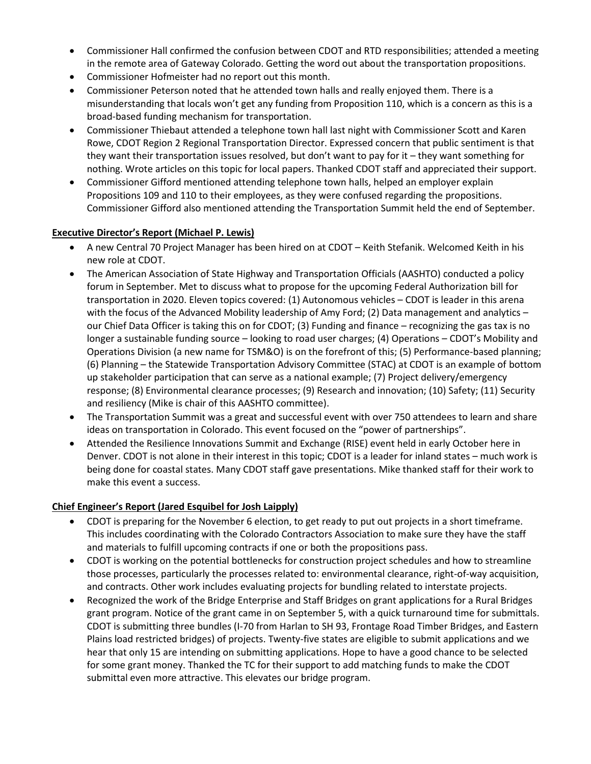- Commissioner Hall confirmed the confusion between CDOT and RTD responsibilities; attended a meeting in the remote area of Gateway Colorado. Getting the word out about the transportation propositions.
- Commissioner Hofmeister had no report out this month.
- Commissioner Peterson noted that he attended town halls and really enjoyed them. There is a misunderstanding that locals won't get any funding from Proposition 110, which is a concern as this is a broad-based funding mechanism for transportation.
- Commissioner Thiebaut attended a telephone town hall last night with Commissioner Scott and Karen Rowe, CDOT Region 2 Regional Transportation Director. Expressed concern that public sentiment is that they want their transportation issues resolved, but don't want to pay for it – they want something for nothing. Wrote articles on this topic for local papers. Thanked CDOT staff and appreciated their support.
- Commissioner Gifford mentioned attending telephone town halls, helped an employer explain Propositions 109 and 110 to their employees, as they were confused regarding the propositions. Commissioner Gifford also mentioned attending the Transportation Summit held the end of September.

#### **Executive Director's Report (Michael P. Lewis)**

- A new Central 70 Project Manager has been hired on at CDOT Keith Stefanik. Welcomed Keith in his new role at CDOT.
- The American Association of State Highway and Transportation Officials (AASHTO) conducted a policy forum in September. Met to discuss what to propose for the upcoming Federal Authorization bill for transportation in 2020. Eleven topics covered: (1) Autonomous vehicles – CDOT is leader in this arena with the focus of the Advanced Mobility leadership of Amy Ford; (2) Data management and analytics our Chief Data Officer is taking this on for CDOT; (3) Funding and finance – recognizing the gas tax is no longer a sustainable funding source – looking to road user charges; (4) Operations – CDOT's Mobility and Operations Division (a new name for TSM&O) is on the forefront of this; (5) Performance-based planning; (6) Planning – the Statewide Transportation Advisory Committee (STAC) at CDOT is an example of bottom up stakeholder participation that can serve as a national example; (7) Project delivery/emergency response; (8) Environmental clearance processes; (9) Research and innovation; (10) Safety; (11) Security and resiliency (Mike is chair of this AASHTO committee).
- The Transportation Summit was a great and successful event with over 750 attendees to learn and share ideas on transportation in Colorado. This event focused on the "power of partnerships".
- Attended the Resilience Innovations Summit and Exchange (RISE) event held in early October here in Denver. CDOT is not alone in their interest in this topic; CDOT is a leader for inland states – much work is being done for coastal states. Many CDOT staff gave presentations. Mike thanked staff for their work to make this event a success.

## **Chief Engineer's Report (Jared Esquibel for Josh Laipply)**

- CDOT is preparing for the November 6 election, to get ready to put out projects in a short timeframe. This includes coordinating with the Colorado Contractors Association to make sure they have the staff and materials to fulfill upcoming contracts if one or both the propositions pass.
- CDOT is working on the potential bottlenecks for construction project schedules and how to streamline those processes, particularly the processes related to: environmental clearance, right-of-way acquisition, and contracts. Other work includes evaluating projects for bundling related to interstate projects.
- Recognized the work of the Bridge Enterprise and Staff Bridges on grant applications for a Rural Bridges grant program. Notice of the grant came in on September 5, with a quick turnaround time for submittals. CDOT is submitting three bundles (I-70 from Harlan to SH 93, Frontage Road Timber Bridges, and Eastern Plains load restricted bridges) of projects. Twenty-five states are eligible to submit applications and we hear that only 15 are intending on submitting applications. Hope to have a good chance to be selected for some grant money. Thanked the TC for their support to add matching funds to make the CDOT submittal even more attractive. This elevates our bridge program.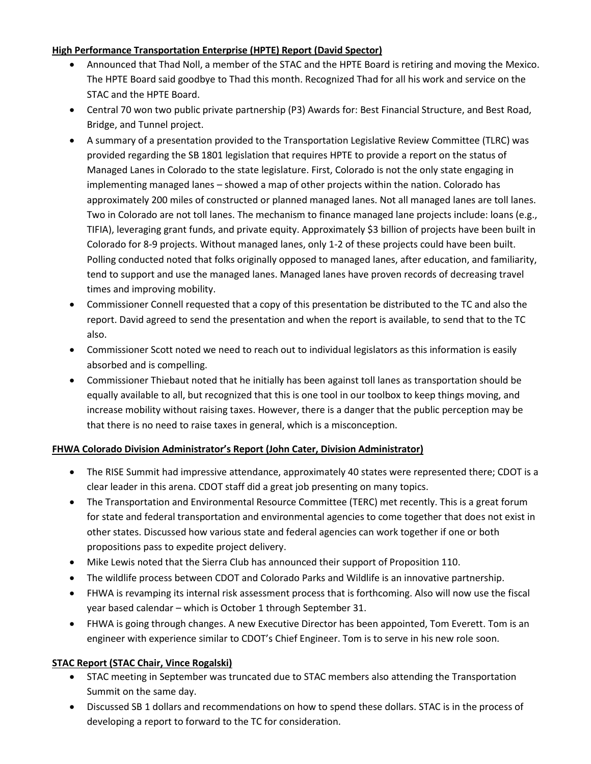# **High Performance Transportation Enterprise (HPTE) Report (David Spector)**

- Announced that Thad Noll, a member of the STAC and the HPTE Board is retiring and moving the Mexico. The HPTE Board said goodbye to Thad this month. Recognized Thad for all his work and service on the STAC and the HPTE Board.
- Central 70 won two public private partnership (P3) Awards for: Best Financial Structure, and Best Road, Bridge, and Tunnel project.
- A summary of a presentation provided to the Transportation Legislative Review Committee (TLRC) was provided regarding the SB 1801 legislation that requires HPTE to provide a report on the status of Managed Lanes in Colorado to the state legislature. First, Colorado is not the only state engaging in implementing managed lanes – showed a map of other projects within the nation. Colorado has approximately 200 miles of constructed or planned managed lanes. Not all managed lanes are toll lanes. Two in Colorado are not toll lanes. The mechanism to finance managed lane projects include: loans (e.g., TIFIA), leveraging grant funds, and private equity. Approximately \$3 billion of projects have been built in Colorado for 8-9 projects. Without managed lanes, only 1-2 of these projects could have been built. Polling conducted noted that folks originally opposed to managed lanes, after education, and familiarity, tend to support and use the managed lanes. Managed lanes have proven records of decreasing travel times and improving mobility.
- Commissioner Connell requested that a copy of this presentation be distributed to the TC and also the report. David agreed to send the presentation and when the report is available, to send that to the TC also.
- Commissioner Scott noted we need to reach out to individual legislators as this information is easily absorbed and is compelling.
- Commissioner Thiebaut noted that he initially has been against toll lanes as transportation should be equally available to all, but recognized that this is one tool in our toolbox to keep things moving, and increase mobility without raising taxes. However, there is a danger that the public perception may be that there is no need to raise taxes in general, which is a misconception.

## **FHWA Colorado Division Administrator's Report (John Cater, Division Administrator)**

- The RISE Summit had impressive attendance, approximately 40 states were represented there; CDOT is a clear leader in this arena. CDOT staff did a great job presenting on many topics.
- The Transportation and Environmental Resource Committee (TERC) met recently. This is a great forum for state and federal transportation and environmental agencies to come together that does not exist in other states. Discussed how various state and federal agencies can work together if one or both propositions pass to expedite project delivery.
- Mike Lewis noted that the Sierra Club has announced their support of Proposition 110.
- The wildlife process between CDOT and Colorado Parks and Wildlife is an innovative partnership.
- FHWA is revamping its internal risk assessment process that is forthcoming. Also will now use the fiscal year based calendar – which is October 1 through September 31.
- FHWA is going through changes. A new Executive Director has been appointed, Tom Everett. Tom is an engineer with experience similar to CDOT's Chief Engineer. Tom is to serve in his new role soon.

## **STAC Report (STAC Chair, Vince Rogalski)**

- STAC meeting in September was truncated due to STAC members also attending the Transportation Summit on the same day.
- Discussed SB 1 dollars and recommendations on how to spend these dollars. STAC is in the process of developing a report to forward to the TC for consideration.